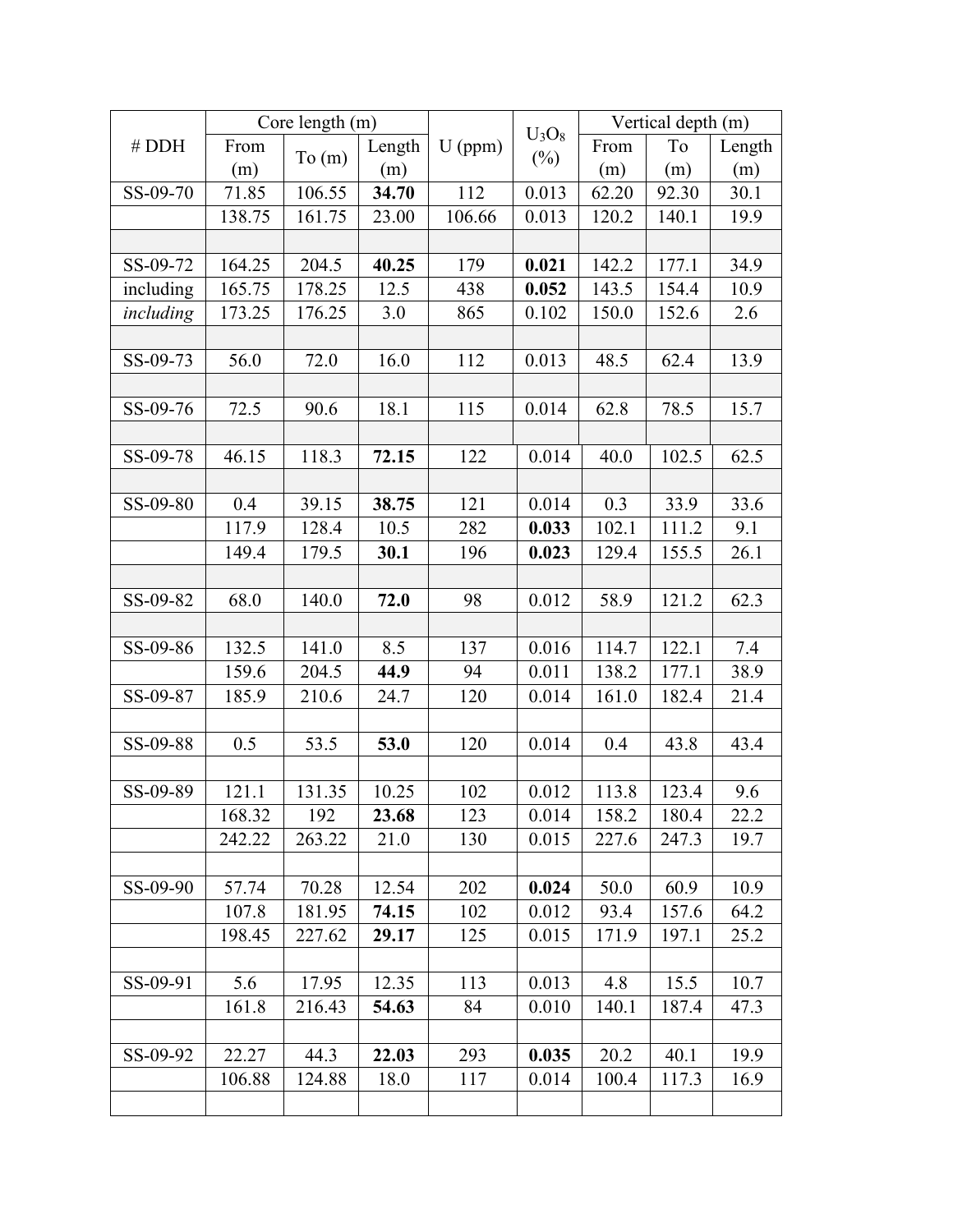| # DDH     | Core length (m) |        |        |           |                    | Vertical depth (m) |       |        |
|-----------|-----------------|--------|--------|-----------|--------------------|--------------------|-------|--------|
|           | From            | To(m)  | Length | $U$ (ppm) | $U_3O_8$<br>$(\%)$ | From               | To    | Length |
|           | (m)             |        | (m)    |           |                    | (m)                | (m)   | (m)    |
| SS-09-70  | 71.85           | 106.55 | 34.70  | 112       | 0.013              | 62.20              | 92.30 | 30.1   |
|           | 138.75          | 161.75 | 23.00  | 106.66    | 0.013              | 120.2              | 140.1 | 19.9   |
|           |                 |        |        |           |                    |                    |       |        |
| SS-09-72  | 164.25          | 204.5  | 40.25  | 179       | 0.021              | 142.2              | 177.1 | 34.9   |
| including | 165.75          | 178.25 | 12.5   | 438       | 0.052              | 143.5              | 154.4 | 10.9   |
| including | 173.25          | 176.25 | 3.0    | 865       | 0.102              | 150.0              | 152.6 | 2.6    |
|           |                 |        |        |           |                    |                    |       |        |
| SS-09-73  | 56.0            | 72.0   | 16.0   | 112       | 0.013              | 48.5               | 62.4  | 13.9   |
|           |                 |        |        |           |                    |                    |       |        |
| SS-09-76  | 72.5            | 90.6   | 18.1   | 115       | 0.014              | 62.8               | 78.5  | 15.7   |
|           |                 |        |        |           |                    |                    |       |        |
| SS-09-78  | 46.15           | 118.3  | 72.15  | 122       | 0.014              | 40.0               | 102.5 | 62.5   |
|           |                 |        |        |           |                    |                    |       |        |
| SS-09-80  | 0.4             | 39.15  | 38.75  | 121       | 0.014              | 0.3                | 33.9  | 33.6   |
|           | 117.9           | 128.4  | 10.5   | 282       | 0.033              | 102.1              | 111.2 | 9.1    |
|           | 149.4           | 179.5  | 30.1   | 196       | 0.023              | 129.4              | 155.5 | 26.1   |
|           |                 |        |        |           |                    |                    |       |        |
| SS-09-82  | 68.0            | 140.0  | 72.0   | 98        | 0.012              | 58.9               | 121.2 | 62.3   |
|           |                 |        |        |           |                    |                    |       |        |
| SS-09-86  | 132.5           | 141.0  | 8.5    | 137       | 0.016              | 114.7              | 122.1 | 7.4    |
|           | 159.6           | 204.5  | 44.9   | 94        | 0.011              | 138.2              | 177.1 | 38.9   |
| SS-09-87  | 185.9           | 210.6  | 24.7   | 120       | 0.014              | 161.0              | 182.4 | 21.4   |
|           |                 |        |        |           |                    |                    |       |        |
| SS-09-88  | 0.5             | 53.5   | 53.0   | 120       | 0.014              | 0.4                | 43.8  | 43.4   |
|           |                 |        |        |           |                    |                    |       |        |
| SS-09-89  | 121.1           | 131.35 | 10.25  | 102       | 0.012              | 113.8              | 123.4 | 9.6    |
|           | 168.32          | 192    | 23.68  | 123       | 0.014              | 158.2              | 180.4 | 22.2   |
|           | 242.22          | 263.22 | 21.0   | 130       | 0.015              | 227.6              | 247.3 | 19.7   |
|           |                 |        |        |           |                    |                    |       |        |
| SS-09-90  | 57.74           | 70.28  | 12.54  | 202       | 0.024              | 50.0               | 60.9  | 10.9   |
|           | 107.8           | 181.95 | 74.15  | 102       | 0.012              | 93.4               | 157.6 | 64.2   |
|           | 198.45          | 227.62 | 29.17  | 125       | 0.015              | 171.9              | 197.1 | 25.2   |
|           |                 |        |        |           |                    |                    |       |        |
| SS-09-91  | 5.6             | 17.95  | 12.35  | 113       | 0.013              | 4.8                | 15.5  | 10.7   |
|           | 161.8           | 216.43 | 54.63  | 84        | 0.010              | 140.1              | 187.4 | 47.3   |
|           |                 |        |        |           |                    |                    |       |        |
| SS-09-92  | 22.27           | 44.3   | 22.03  | 293       | 0.035              | 20.2               | 40.1  | 19.9   |
|           | 106.88          | 124.88 | 18.0   | 117       | 0.014              | 100.4              | 117.3 | 16.9   |
|           |                 |        |        |           |                    |                    |       |        |